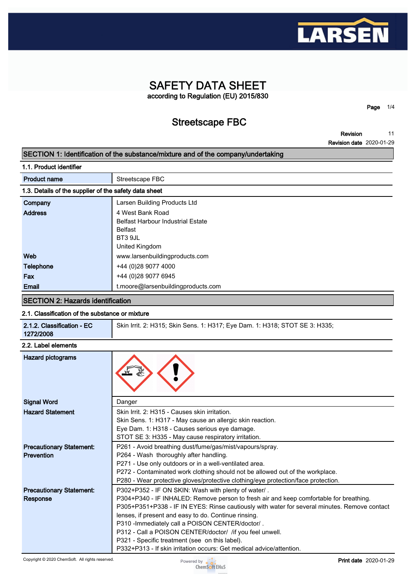

## **SAFETY DATA SHEET according to Regulation (EU) 2015/830**

**Streetscape FBC**

**Revision 11**

**Page 1/4**

**Revision date 2020-01-29**

### **SECTION 1: Identification of the substance/mixture and of the company/undertaking**

|  |  |  | 1.1. Product identifier |  |
|--|--|--|-------------------------|--|
|--|--|--|-------------------------|--|

| <b>Product name</b>                                   | Streetscape FBC                          |  |
|-------------------------------------------------------|------------------------------------------|--|
| 1.3. Details of the supplier of the safety data sheet |                                          |  |
| Company                                               | Larsen Building Products Ltd             |  |
| <b>Address</b>                                        | 4 West Bank Road                         |  |
|                                                       | <b>Belfast Harbour Industrial Estate</b> |  |
|                                                       | <b>Belfast</b>                           |  |
|                                                       | BT3 9JL                                  |  |
|                                                       | United Kingdom                           |  |
| Web                                                   | www.larsenbuildingproducts.com           |  |
| Telephone                                             | +44 (0)28 9077 4000                      |  |
| Fax                                                   | +44 (0)28 9077 6945                      |  |
| Email                                                 | t.moore@larsenbuildingproducts.com       |  |
|                                                       |                                          |  |

## **SECTION 2: Hazards identification**

#### **2.1. Classification of the substance or mixture**

| 2.1.2. Classification - EC<br>1272/2008              | Skin Irrit. 2: H315; Skin Sens. 1: H317; Eye Dam. 1: H318; STOT SE 3: H335;                                                                                                                                                                                                                                                                                                                                                                                                                                                                     |  |  |  |
|------------------------------------------------------|-------------------------------------------------------------------------------------------------------------------------------------------------------------------------------------------------------------------------------------------------------------------------------------------------------------------------------------------------------------------------------------------------------------------------------------------------------------------------------------------------------------------------------------------------|--|--|--|
| 2.2. Label elements                                  |                                                                                                                                                                                                                                                                                                                                                                                                                                                                                                                                                 |  |  |  |
| <b>Hazard pictograms</b>                             |                                                                                                                                                                                                                                                                                                                                                                                                                                                                                                                                                 |  |  |  |
| <b>Signal Word</b>                                   | Danger                                                                                                                                                                                                                                                                                                                                                                                                                                                                                                                                          |  |  |  |
| <b>Hazard Statement</b>                              | Skin Irrit, 2: H315 - Causes skin irritation.<br>Skin Sens. 1: H317 - May cause an allergic skin reaction.<br>Eye Dam. 1: H318 - Causes serious eye damage.<br>STOT SE 3: H335 - May cause respiratory irritation.                                                                                                                                                                                                                                                                                                                              |  |  |  |
| <b>Precautionary Statement:</b><br><b>Prevention</b> | P261 - Avoid breathing dust/fume/gas/mist/vapours/spray.<br>P264 - Wash thoroughly after handling.<br>P271 - Use only outdoors or in a well-ventilated area.<br>P272 - Contaminated work clothing should not be allowed out of the workplace.<br>P280 - Wear protective gloves/protective clothing/eye protection/face protection.                                                                                                                                                                                                              |  |  |  |
| <b>Precautionary Statement:</b><br><b>Response</b>   | P302+P352 - IF ON SKIN: Wash with plenty of water/.<br>P304+P340 - IF INHALED: Remove person to fresh air and keep comfortable for breathing.<br>P305+P351+P338 - IF IN EYES: Rinse cautiously with water for several minutes. Remove contact<br>lenses, if present and easy to do. Continue rinsing.<br>P310 - Immediately call a POISON CENTER/doctor/.<br>P312 - Call a POISON CENTER/doctor/ /if you feel unwell.<br>P321 - Specific treatment (see on this label).<br>P332+P313 - If skin irritation occurs: Get medical advice/attention. |  |  |  |

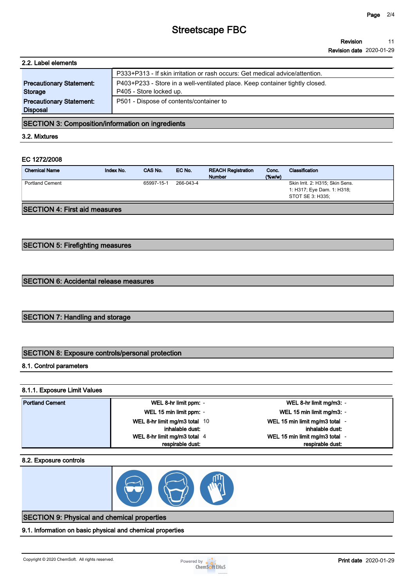## **Streetscape FBC**

#### **Revision 11**

**Revision date 2020-01-29**

| 2.2. Label elements                                |                                                                                                         |  |  |
|----------------------------------------------------|---------------------------------------------------------------------------------------------------------|--|--|
|                                                    | P333+P313 - If skin irritation or rash occurs: Get medical advice/attention.                            |  |  |
| <b>Precautionary Statement:</b><br><b>Storage</b>  | P403+P233 - Store in a well-ventilated place. Keep container tightly closed.<br>P405 - Store locked up. |  |  |
| <b>Precautionary Statement:</b><br><b>Disposal</b> | P501 - Dispose of contents/container to                                                                 |  |  |

### **SECTION 3: Composition/information on ingredients**

**3.2. Mixtures**

## **EC 1272/2008**

| <b>Chemical Name</b>                 | Index No. | CAS No.    | EC No.    | <b>REACH Registration</b><br><b>Number</b> | Conc.<br>$($ %w/w $)$ | Classification                                                                    |
|--------------------------------------|-----------|------------|-----------|--------------------------------------------|-----------------------|-----------------------------------------------------------------------------------|
| <b>Portland Cement</b>               |           | 65997-15-1 | 266-043-4 |                                            |                       | Skin Irrit. 2: H315; Skin Sens.<br>1: H317; Eye Dam. 1: H318;<br>STOT SE 3: H335: |
| <b>SECTION 4: First aid measures</b> |           |            |           |                                            |                       |                                                                                   |

## **SECTION 5: Firefighting measures**

### **SECTION 6: Accidental release measures**

## **SECTION 7: Handling and storage**

## **SECTION 8: Exposure controls/personal protection**

#### **8.1. Control parameters**

#### **8.1.1. Exposure Limit Values**

| <b>Portland Cement</b> | WEL 8-hr limit ppm: -         | WEL 8-hr limit mg/m3: -        |
|------------------------|-------------------------------|--------------------------------|
|                        | WEL 15 min limit ppm: -       | WEL 15 min limit mg/m3: -      |
|                        | WEL 8-hr limit mg/m3 total 10 | WEL 15 min limit mg/m3 total - |
|                        | inhalable dust:               | inhalable dust:                |
|                        | WEL 8-hr limit mg/m3 total 4  | WEL 15 min limit mg/m3 total - |
|                        | respirable dust:              | respirable dust:               |

#### **8.2. Exposure controls**



## **SECTION 9: Physical and chemical properties**

**9.1. Information on basic physical and chemical properties**

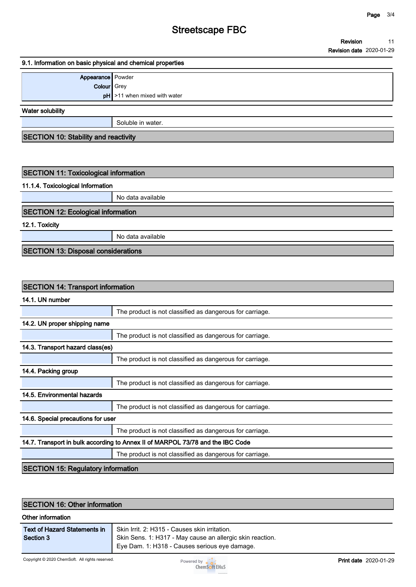## **Streetscape FBC**

#### **9.1. Information on basic physical and chemical properties**

| Appearance Powder  |                                         |  |
|--------------------|-----------------------------------------|--|
| <b>Colour</b> Grey |                                         |  |
|                    | $\mathsf{pH}$ >11 when mixed with water |  |
|                    |                                         |  |

**Water solubility**

**Soluble in water.**

**SECTION 10: Stability and reactivity**

## **SECTION 11: Toxicological information**

#### **11.1.4. Toxicological Information**

**No data available**

### **SECTION 12: Ecological information**

**12.1. Toxicity**

**No data available**

**SECTION 13: Disposal considerations**

### **SECTION 14: Transport information**

**14.1. UN number**

|                                                                                | The product is not classified as dangerous for carriage. |  |  |  |
|--------------------------------------------------------------------------------|----------------------------------------------------------|--|--|--|
| 14.2. UN proper shipping name                                                  |                                                          |  |  |  |
|                                                                                | The product is not classified as dangerous for carriage. |  |  |  |
| 14.3. Transport hazard class(es)                                               |                                                          |  |  |  |
|                                                                                | The product is not classified as dangerous for carriage. |  |  |  |
| 14.4. Packing group                                                            |                                                          |  |  |  |
|                                                                                | The product is not classified as dangerous for carriage. |  |  |  |
| 14.5. Environmental hazards                                                    |                                                          |  |  |  |
|                                                                                | The product is not classified as dangerous for carriage. |  |  |  |
| 14.6. Special precautions for user                                             |                                                          |  |  |  |
|                                                                                | The product is not classified as dangerous for carriage. |  |  |  |
| 14.7. Transport in bulk according to Annex II of MARPOL 73/78 and the IBC Code |                                                          |  |  |  |
|                                                                                | The product is not classified as dangerous for carriage. |  |  |  |
| <b>SECTION 15: Regulatory information</b>                                      |                                                          |  |  |  |

## **SECTION 16: Other information Other information Text of Hazard Statements in Section 3 Skin Irrit. 2: H315 - Causes skin irritation. Skin Sens. 1: H317 - May cause an allergic skin reaction. Eye Dam. 1: H318 - Causes serious eye damage.**